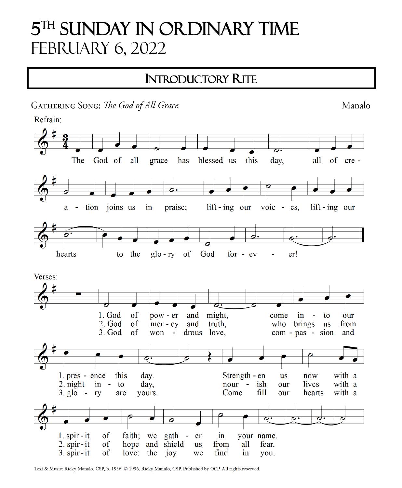# 5TH SUNDAY IN ORDINARY TIME FEBRUARY 6, 2022

# **INTRODUCTORY RITE**



Text & Music: Ricky Manalo, CSP, b. 1956, C 1996, Ricky Manalo, CSP. Published by OCP. All rights reserved.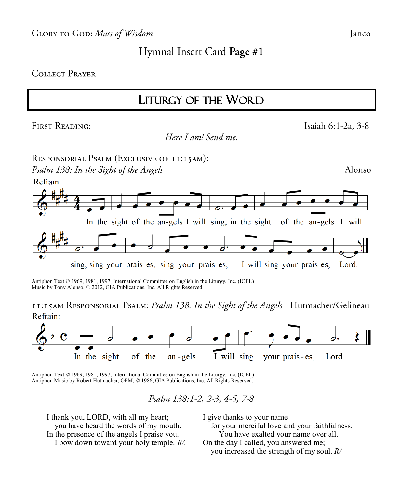#### Hymnal Insert Card Page #1

#### **COLLECT PRAYER**

# LITURGY OF THE WORD

**FIRST READING:** 

Isaiah 6:1-2a, 3-8

Here I am! Send me.



Antiphon Text © 1969, 1981, 1997, International Committee on English in the Liturgy, Inc. (ICEL) Music by Tony Alonso, © 2012, GIA Publications, Inc. All Rights Reserved.

II:15AM RESPONSORIAL PSALM: Psalm 138: In the Sight of the Angels Hutmacher/Gelineau Refrain:



Antiphon Text © 1969, 1981, 1997, International Committee on English in the Liturgy, Inc. (ICEL) Antiphon Music by Robert Hutmacher, OFM, © 1986, GIA Publications, Inc. All Rights Reserved.

I thank you, LORD, with all my heart; you have heard the words of my mouth. In the presence of the angels I praise you. I bow down toward your holy temple. *R/.* I give thanks to your name

for your merciful love and your faithfulness.

You have exalted your name over all.

On the day I called, you answered me; you increased the strength of my soul. *R/.*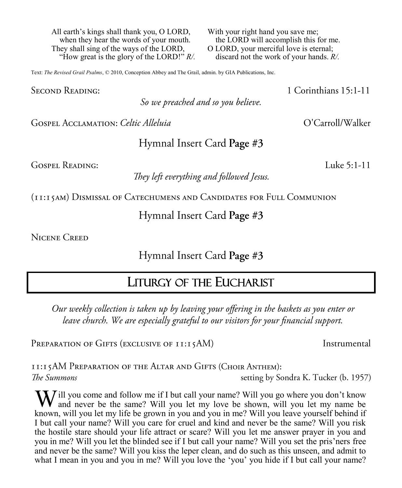All earth's kings shall thank you, O LORD, when they hear the words of your mouth. They shall sing of the ways of the LORD, "How great is the glory of the LORD!"  $R/$ . With your right hand you save me; the LORD will accomplish this for me. O LORD, your merciful love is eternal; discard not the work of your hands.  $R/$ .

Text: The Revised Grail Psalms, © 2010, Conception Abbey and The Grail, admin. by GIA Publications, Inc.

**SECOND READING:** 

So we preached and so you believe.

GOSPEL ACCLAMATION: Celtic Alleluia

Hymnal Insert Card Page #3

**GOSPEL READING:** 

They left everything and followed Jesus.

(11:15AM) DISMISSAL OF CATECHUMENS AND CANDIDATES FOR FULL COMMUNION

Hymnal Insert Card Page #3

**NICENE CREED** 

Hymnal Insert Card Page #3

### **LITURGY OF THE EUCHARIST**

Our weekly collection is taken up by leaving your offering in the baskets as you enter or leave church. We are especially grateful to our visitors for your financial support.

PREPARATION OF GIFTS (EXCLUSIVE OF 11:15AM)

II:I5AM PREPARATION OF THE ALTAR AND GIFTS (CHOIR ANTHEM): The Summons setting by Sondra K. Tucker (b. 1957)

 $\sum$  ill you come and follow me if I but call your name? Will you go where you don't know and never be the same? Will you let my love be shown, will you let my name be known, will you let my life be grown in you and you in me? Will you leave yourself behind if I but call your name? Will you care for cruel and kind and never be the same? Will you risk the hostile stare should your life attract or scare? Will you let me answer prayer in you and you in me? Will you let the blinded see if I but call your name? Will you set the pris' ners free and never be the same? Will you kiss the leper clean, and do such as this unseen, and admit to what I mean in you and you in me? Will you love the 'you' you hide if I but call your name?

Instrumental

Luke 5:1-11

O'Carroll/Walker

1 Corinthians 15:1-11